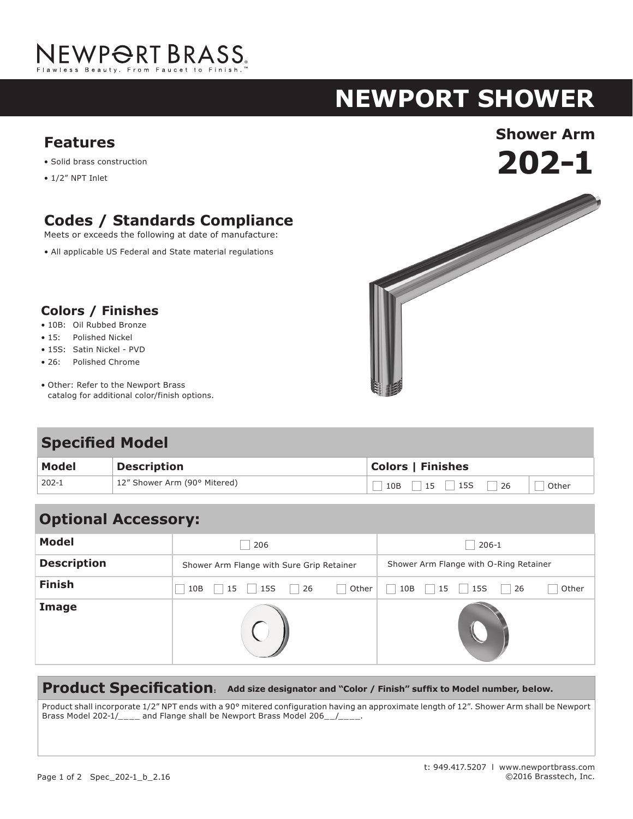

# **NEWPORT shower**

- Solid brass construction
- 1/2" NPT Inlet

## **Codes / Standards Compliance**

Meets or exceeds the following at date of manufacture:

• All applicable US Federal and State material regulations

#### **Colors / Finishes**

- 10B: Oil Rubbed Bronze
- 15: Polished Nickel
- 15S: Satin Nickel PVD
- 26: Polished Chrome
- Other: Refer to the Newport Brass catalog for additional color/finish options.

#### **Specified Model**

| Model | <b>Description</b>           | <b>Colors   Finishes</b> |  |  |
|-------|------------------------------|--------------------------|--|--|
| 202-1 | 12" Shower Arm (90° Mitered) | $10B$ 15 15S 26<br>Other |  |  |

| <b>Optional Accessory:</b> |                                           |       |                                        |             |  |
|----------------------------|-------------------------------------------|-------|----------------------------------------|-------------|--|
| <b>Model</b>               | 206                                       |       | $206 - 1$                              |             |  |
| <b>Description</b>         | Shower Arm Flange with Sure Grip Retainer |       | Shower Arm Flange with O-Ring Retainer |             |  |
| <b>Finish</b>              | 15S<br>26<br>10B<br>15                    | Other | 15S<br>10B<br>15                       | Other<br>26 |  |
| Image                      |                                           |       |                                        |             |  |

#### **Product Specification: Add size designator and "Color / Finish" suffix to Model number, below.**

Product shall incorporate 1/2" NPT ends with a 90° mitered configuration having an approximate length of 12". Shower Arm shall be Newport Brass Model 202-1/\_\_\_\_ and Flange shall be Newport Brass Model 206\_\_/\_\_\_\_.